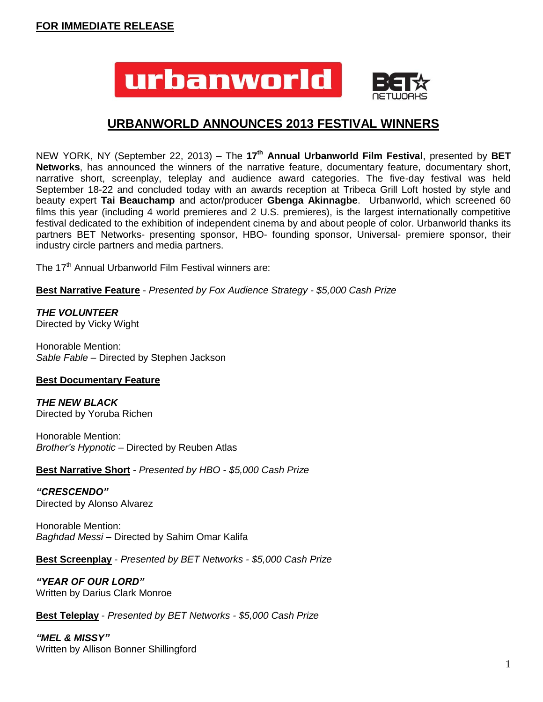

# **URBANWORLD ANNOUNCES 2013 FESTIVAL WINNERS**

NEW YORK, NY (September 22, 2013) – The **17 th Annual Urbanworld Film Festival**, presented by **BET Networks**, has announced the winners of the narrative feature, documentary feature, documentary short, narrative short, screenplay, teleplay and audience award categories. The five-day festival was held September 18-22 and concluded today with an awards reception at Tribeca Grill Loft hosted by style and beauty expert **Tai Beauchamp** and actor/producer **Gbenga Akinnagbe**. Urbanworld, which screened 60 films this year (including 4 world premieres and 2 U.S. premieres), is the largest internationally competitive festival dedicated to the exhibition of independent cinema by and about people of color. Urbanworld thanks its partners BET Networks- presenting sponsor, HBO- founding sponsor, Universal- premiere sponsor, their industry circle partners and media partners.

The 17<sup>th</sup> Annual Urbanworld Film Festival winners are:

**Best Narrative Feature** - *Presented by Fox Audience Strategy - \$5,000 Cash Prize*

# *THE VOLUNTEER*

Directed by Vicky Wight

Honorable Mention: *Sable Fable* – Directed by Stephen Jackson

## **Best Documentary Feature**

*THE NEW BLACK* Directed by Yoruba Richen

Honorable Mention: *Brother's Hypnotic* – Directed by Reuben Atlas

**Best Narrative Short** - *Presented by HBO - \$5,000 Cash Prize*

*"CRESCENDO"* Directed by Alonso Alvarez

Honorable Mention: *Baghdad Messi* – Directed by Sahim Omar Kalifa

**Best Screenplay** - *Presented by BET Networks - \$5,000 Cash Prize*

*"YEAR OF OUR LORD"* Written by Darius Clark Monroe

**Best Teleplay** - *Presented by BET Networks - \$5,000 Cash Prize*

*"MEL & MISSY"* Written by Allison Bonner Shillingford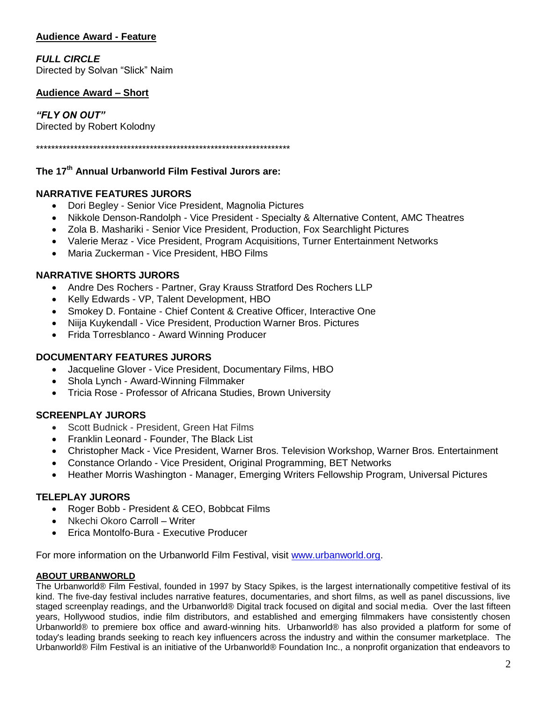# **Audience Award - Feature**

# *FULL CIRCLE*

Directed by Solvan "Slick" Naim

### **Audience Award – Short**

*"FLY ON OUT"* Directed by Robert Kolodny

\*\*\*\*\*\*\*\*\*\*\*\*\*\*\*\*\*\*\*\*\*\*\*\*\*\*\*\*\*\*\*\*\*\*\*\*\*\*\*\*\*\*\*\*\*\*\*\*\*\*\*\*\*\*\*\*\*\*\*\*\*\*\*\*\*\*\*

## **The 17 th Annual Urbanworld Film Festival Jurors are:**

#### **NARRATIVE FEATURES JURORS**

- Dori Begley Senior Vice President, Magnolia Pictures
- Nikkole Denson-Randolph Vice President Specialty & Alternative Content, AMC Theatres
- Zola B. Mashariki Senior Vice President, Production, Fox Searchlight Pictures
- Valerie Meraz Vice President, Program Acquisitions, Turner Entertainment Networks
- Maria Zuckerman Vice President, HBO Films

#### **NARRATIVE SHORTS JURORS**

- Andre Des Rochers Partner, Gray Krauss Stratford Des Rochers LLP
- Kelly Edwards VP, Talent Development, HBO
- Smokey D. Fontaine Chief Content & Creative Officer, Interactive One
- Niija Kuykendall Vice President, Production Warner Bros. Pictures
- Frida Torresblanco Award Winning Producer

#### **DOCUMENTARY FEATURES JURORS**

- Jacqueline Glover Vice President, Documentary Films, HBO
- Shola Lynch Award-Winning Filmmaker
- Tricia Rose Professor of Africana Studies, Brown University

## **SCREENPLAY JURORS**

- Scott Budnick President, Green Hat Films
- Franklin Leonard Founder, The Black List
- Christopher Mack Vice President, Warner Bros. Television Workshop, Warner Bros. Entertainment
- Constance Orlando Vice President, Original Programming, BET Networks
- Heather Morris Washington Manager, Emerging Writers Fellowship Program, Universal Pictures

## **TELEPLAY JURORS**

- Roger Bobb President & CEO, Bobbcat Films
- Nkechi Okoro Carroll Writer
- Erica Montolfo-Bura Executive Producer

For more information on the Urbanworld Film Festival, visit [www.urbanworld.org.](http://www.urbanworld.org/)

#### **ABOUT URBANWORLD**

The Urbanworld® Film Festival, founded in 1997 by Stacy Spikes, is the largest internationally competitive festival of its kind. The five-day festival includes narrative features, documentaries, and short films, as well as panel discussions, live staged screenplay readings, and the Urbanworld® Digital track focused on digital and social media. Over the last fifteen years, Hollywood studios, indie film distributors, and established and emerging filmmakers have consistently chosen Urbanworld® to premiere box office and award-winning hits. Urbanworld® has also provided a platform for some of today's leading brands seeking to reach key influencers across the industry and within the consumer marketplace. The Urbanworld® Film Festival is an initiative of the Urbanworld® Foundation Inc., a nonprofit organization that endeavors to